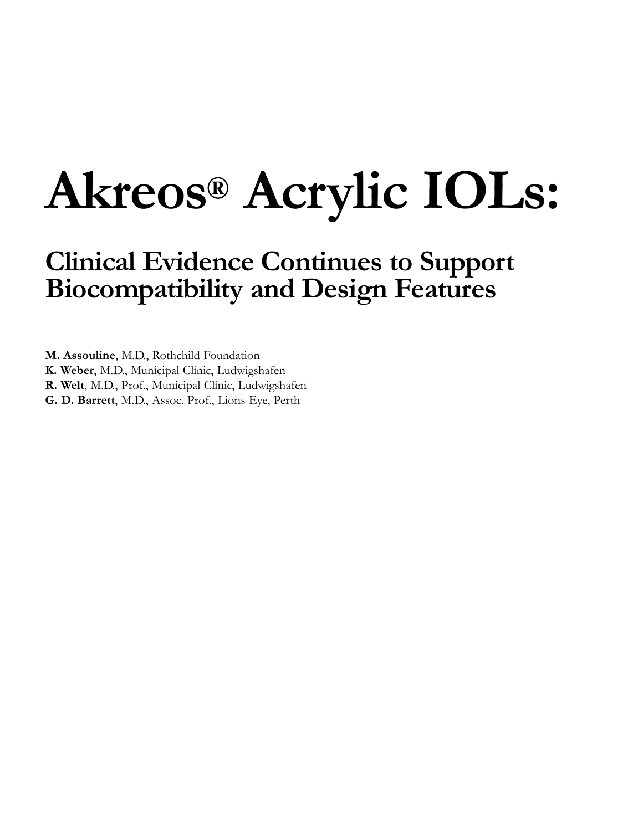# **Akreos® Acrylic IOLs:**

## **Clinical Evidence Continues to Support Biocompatibility and Design Features**

**M. Assouline**, M.D., Rothchild Foundation

**K. Weber**, M.D., Municipal Clinic, Ludwigshafen

**R. Welt**, M.D., Prof., Municipal Clinic, Ludwigshafen

**G. D. Barrett**, M.D., Assoc. Prof., Lions Eye, Perth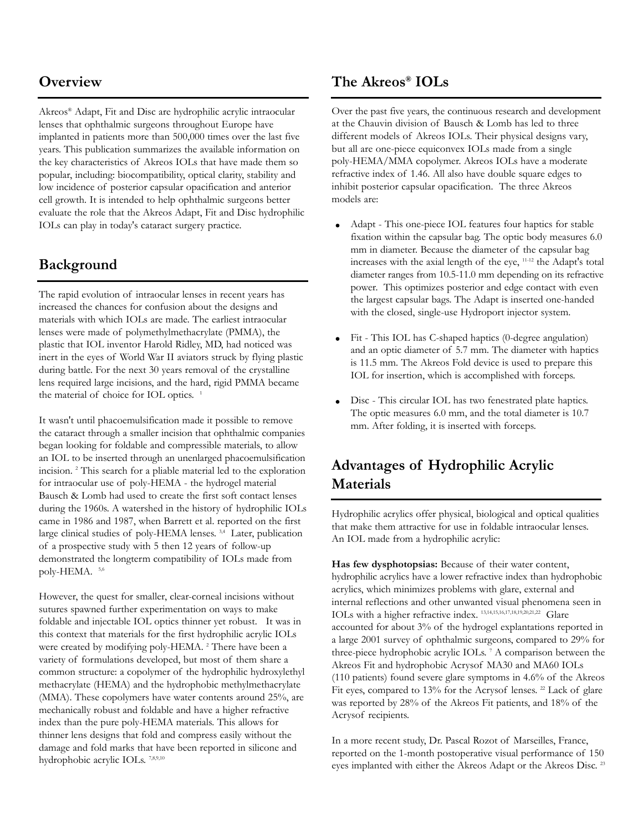## **Overview**

Akreos® Adapt, Fit and Disc are hydrophilic acrylic intraocular lenses that ophthalmic surgeons throughout Europe have implanted in patients more than 500,000 times over the last five years. This publication summarizes the available information on the key characteristics of Akreos IOLs that have made them so popular, including: biocompatibility, optical clarity, stability and low incidence of posterior capsular opacification and anterior cell growth. It is intended to help ophthalmic surgeons better evaluate the role that the Akreos Adapt, Fit and Disc hydrophilic IOLs can play in today's cataract surgery practice.

## **Background**

The rapid evolution of intraocular lenses in recent years has increased the chances for confusion about the designs and materials with which IOLs are made. The earliest intraocular lenses were made of polymethylmethacrylate (PMMA), the plastic that IOL inventor Harold Ridley, MD, had noticed was inert in the eyes of World War II aviators struck by flying plastic during battle. For the next 30 years removal of the crystalline lens required large incisions, and the hard, rigid PMMA became the material of choice for IOL optics.<sup>1</sup>

It wasn't until phacoemulsification made it possible to remove the cataract through a smaller incision that ophthalmic companies began looking for foldable and compressible materials, to allow an IOL to be inserted through an unenlarged phacoemulsification incision. <sup>2</sup> This search for a pliable material led to the exploration for intraocular use of poly-HEMA - the hydrogel material Bausch & Lomb had used to create the first soft contact lenses during the 1960s. A watershed in the history of hydrophilic IOLs came in 1986 and 1987, when Barrett et al. reported on the first large clinical studies of poly-HEMA lenses. 3,4 Later, publication of a prospective study with 5 then 12 years of follow-up demonstrated the longterm compatibility of IOLs made from poly-HEMA. 5,6

However, the quest for smaller, clear-corneal incisions without sutures spawned further experimentation on ways to make foldable and injectable IOL optics thinner yet robust. It was in this context that materials for the first hydrophilic acrylic IOLs were created by modifying poly-HEMA.<sup>2</sup> There have been a variety of formulations developed, but most of them share a common structure: a copolymer of the hydrophilic hydroxylethyl methacrylate (HEMA) and the hydrophobic methylmethacrylate (MMA). These copolymers have water contents around 25%, are mechanically robust and foldable and have a higher refractive index than the pure poly-HEMA materials. This allows for thinner lens designs that fold and compress easily without the damage and fold marks that have been reported in silicone and hydrophobic acrylic IOLs. 7,8,9,10

### **The Akreos® IOLs**

Over the past five years, the continuous research and development at the Chauvin division of Bausch & Lomb has led to three different models of Akreos IOLs. Their physical designs vary, but all are one-piece equiconvex IOLs made from a single poly-HEMA/MMA copolymer. Akreos IOLs have a moderate refractive index of 1.46. All also have double square edges to inhibit posterior capsular opacification. The three Akreos models are:

- Adapt This one-piece IOL features four haptics for stable fixation within the capsular bag. The optic body measures 6.0 mm in diameter. Because the diameter of the capsular bag increases with the axial length of the eye, 11-12 the Adapt's total diameter ranges from 10.5-11.0 mm depending on its refractive power. This optimizes posterior and edge contact with even the largest capsular bags. The Adapt is inserted one-handed with the closed, single-use Hydroport injector system.
- Fit This IOL has C-shaped haptics (0-degree angulation) and an optic diameter of 5.7 mm. The diameter with haptics is 11.5 mm. The Akreos Fold device is used to prepare this IOL for insertion, which is accomplished with forceps.
- Disc This circular IOL has two fenestrated plate haptics. The optic measures 6.0 mm, and the total diameter is 10.7 mm. After folding, it is inserted with forceps.

## **Advantages of Hydrophilic Acrylic Materials**

Hydrophilic acrylics offer physical, biological and optical qualities that make them attractive for use in foldable intraocular lenses. An IOL made from a hydrophilic acrylic:

**Has few dysphotopsias:** Because of their water content, hydrophilic acrylics have a lower refractive index than hydrophobic acrylics, which minimizes problems with glare, external and internal reflections and other unwanted visual phenomena seen in IOLs with a higher refractive index. 13,14,15,16,17,18,19,20,21,22 Glare accounted for about 3% of the hydrogel explantations reported in a large 2001 survey of ophthalmic surgeons, compared to 29% for three-piece hydrophobic acrylic IOLs. <sup>7</sup> A comparison between the Akreos Fit and hydrophobic Acrysof MA30 and MA60 IOLs (110 patients) found severe glare symptoms in 4.6% of the Akreos Fit eyes, compared to 13% for the Acrysof lenses.<sup>22</sup> Lack of glare was reported by 28% of the Akreos Fit patients, and 18% of the Acrysof recipients.

In a more recent study, Dr. Pascal Rozot of Marseilles, France, reported on the 1-month postoperative visual performance of 150 eyes implanted with either the Akreos Adapt or the Akreos Disc. <sup>23</sup>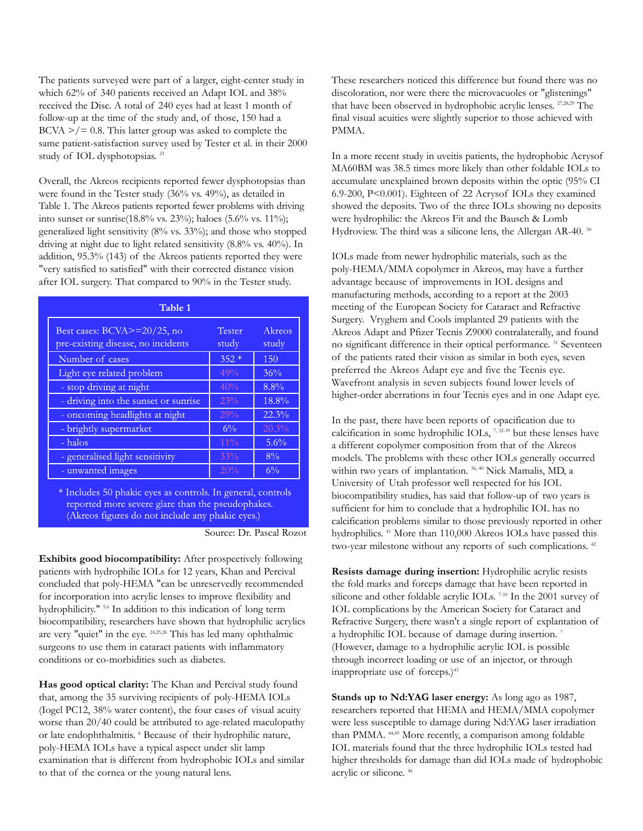The patients surveyed were part of a larger, eight-center study in which 62% of 340 patients received an Adapt IOL and 38% received the Disc. A total of 240 eyes had at least 1 month of follow-up at the time of the study and, of those, 150 had a  $BCVA$   $>$ / $=$  0.8. This latter group was asked to complete the same patient-satisfaction survey used by Tester et al. in their 2000 study of IOL dysphotopsias.<sup>21</sup>

Overall, the Akreos recipients reported fewer dysphotopsias than were found in the Tester study (36% vs. 49%), as detailed in Table 1. The Akreos patients reported fewer problems with driving into sunset or sunrise(18.8% vs. 23%); haloes (5.6% vs. 11%); generalized light sensitivity (8% vs. 33%); and those who stopped driving at night due to light related sensitivity (8.8% vs. 40%). In addition, 95.3% (143) of the Akreos patients reported they were "very satisfied to satisfied" with their corrected distance vision after IOL surgery. That compared to 90% in the Tester study.

| Table 1                                                                 |                 |                 |
|-------------------------------------------------------------------------|-----------------|-----------------|
| Best cases: $BCVA \ge 20/25$ , no<br>pre-existing disease, no incidents | Tester<br>study | Akreos<br>study |
| Number of cases                                                         | $352*$          | 150             |
| Light eye related problem                                               | 49%             | 36%             |
| - stop driving at night                                                 | 40%             | $8.8\%$         |
| - driving into the sunset or sunrise                                    | 23%             | 18.8%           |
| - oncoming headlights at night                                          | 29%             | 22.3%           |
| - brightly supermarket                                                  | $6\%$           | 20.3%           |
| - halos                                                                 | $11\%$          | 5.6%            |
| - generalised light sensitivity                                         | 33%             | $8\%$           |
| - unwanted images                                                       | 20%             | $6\%$           |

\* Includes 50 phakic eyes as controls. In general, controls reported more severe glare than the pseudophakes. (Akreos figures do not include any phakic eyes.)

**Exhibits good biocompatibility:** After prospectively following patients with hydrophilic IOLs for 12 years, Khan and Percival concluded that poly-HEMA "can be unreservedly recommended for incorporation into acrylic lenses to improve flexibility and hydrophilicity." <sup>5,6</sup> In addition to this indication of long term biocompatibility, researchers have shown that hydrophilic acrylics are very "quiet" in the eye. 24,25,26 This has led many ophthalmic surgeons to use them in cataract patients with inflammatory conditions or co-morbidities such as diabetes.

**Has good optical clarity:** The Khan and Percival study found that, among the 35 surviving recipients of poly-HEMA IOLs (Iogel PC12, 38% water content), the four cases of visual acuity worse than 20/40 could be attributed to age-related maculopathy or late endophthalmitis. <sup>6</sup> Because of their hydrophilic nature, poly-HEMA IOLs have a typical aspect under slit lamp examination that is different from hydrophobic IOLs and similar to that of the cornea or the young natural lens.

These researchers noticed this difference but found there was no discoloration, nor were there the microvacuoles or "glistenings" that have been observed in hydrophobic acrylic lenses. 27,28,29 The final visual acuities were slightly superior to those achieved with PMMA.

In a more recent study in uveitis patients, the hydrophobic Acrysof MA60BM was 38.5 times more likely than other foldable IOLs to accumulate unexplained brown deposits within the optic (95% CI 6.9-200, P<0.001). Eighteen of 22 Acrysof IOLs they examined showed the deposits. Two of the three IOLs showing no deposits were hydrophilic: the Akreos Fit and the Bausch & Lomb Hydroview. The third was a silicone lens, the Allergan AR-40. <sup>30</sup>

IOLs made from newer hydrophilic materials, such as the poly-HEMA/MMA copolymer in Akreos, may have a further advantage because of improvements in IOL designs and manufacturing methods, according to a report at the 2003 meeting of the European Society for Cataract and Refractive Surgery. Vryghem and Cools implanted 29 patients with the Akreos Adapt and Pfizer Tecnis Z9000 contralaterally, and found no significant difference in their optical performance. <sup>31</sup> Seventeen of the patients rated their vision as similar in both eyes, seven preferred the Akreos Adapt eye and five the Tecnis eye. Wavefront analysis in seven subjects found lower levels of higher-order aberrations in four Tecnis eyes and in one Adapt eye.

In the past, there have been reports of opacification due to calcification in some hydrophilic IOLs, 7, 32.39 but these lenses have a different copolymer composition from that of the Akreos models. The problems with these other IOLs generally occurred within two years of implantation.<sup>36, 40</sup> Nick Mamalis, MD, a University of Utah professor well respected for his IOL biocompatibility studies, has said that follow-up of two years is sufficient for him to conclude that a hydrophilic IOL has no calcification problems similar to those previously reported in other hydrophilics. <sup>41</sup> More than 110,000 Akreos IOLs have passed this two-year milestone without any reports of such complications. <sup>42</sup>

**Resists damage during insertion:** Hydrophilic acrylic resists the fold marks and forceps damage that have been reported in silicone and other foldable acrylic IOLs.<sup>7-10</sup> In the 2001 survey of IOL complications by the American Society for Cataract and Refractive Surgery, there wasn't a single report of explantation of a hydrophilic IOL because of damage during insertion. <sup>7</sup> (However, damage to a hydrophilic acrylic IOL is possible through incorrect loading or use of an injector, or through inappropriate use of forceps.)<sup>43</sup>

**Stands up to Nd:YAG laser energy:** As long ago as 1987, researchers reported that HEMA and HEMA/MMA copolymer were less susceptible to damage during Nd:YAG laser irradiation than PMMA. 44,45 More recently, a comparison among foldable IOL materials found that the three hydrophilic IOLs tested had higher thresholds for damage than did IOLs made of hydrophobic acrylic or silicone. <sup>46</sup>

Source: Dr. Pascal Rozot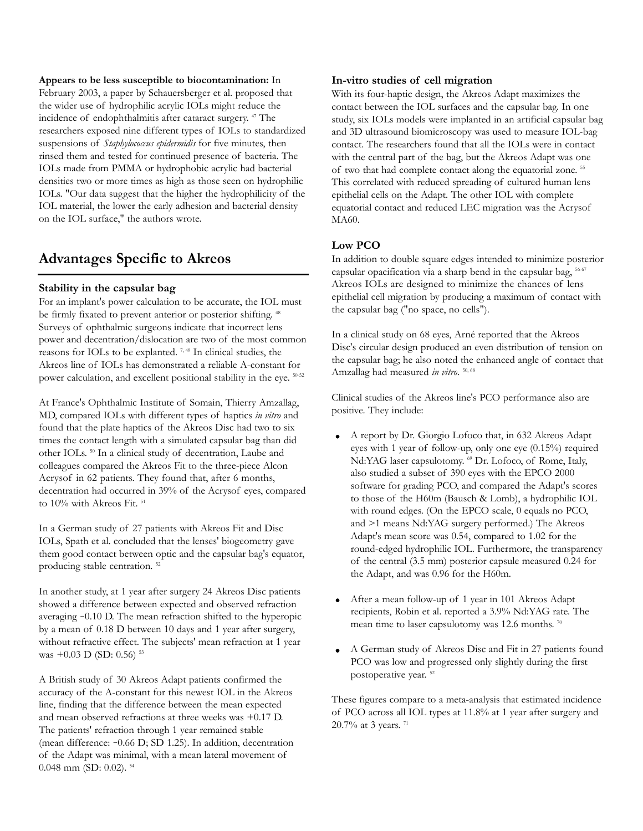**Appears to be less susceptible to biocontamination:** In February 2003, a paper by Schauersberger et al. proposed that the wider use of hydrophilic acrylic IOLs might reduce the incidence of endophthalmitis after cataract surgery. <sup>47</sup> The researchers exposed nine different types of IOLs to standardized suspensions of *Staphylococcus epidermidis* for five minutes, then rinsed them and tested for continued presence of bacteria. The IOLs made from PMMA or hydrophobic acrylic had bacterial densities two or more times as high as those seen on hydrophilic IOLs. "Our data suggest that the higher the hydrophilicity of the IOL material, the lower the early adhesion and bacterial density on the IOL surface," the authors wrote.

## **Advantages Specific to Akreos**

#### **Stability in the capsular bag**

For an implant's power calculation to be accurate, the IOL must be firmly fixated to prevent anterior or posterior shifting.<sup>48</sup> Surveys of ophthalmic surgeons indicate that incorrect lens power and decentration/dislocation are two of the most common reasons for IOLs to be explanted.<sup>7,49</sup> In clinical studies, the Akreos line of IOLs has demonstrated a reliable A-constant for power calculation, and excellent positional stability in the eye.  $50-52$ 

At France's Ophthalmic Institute of Somain, Thierry Amzallag, MD, compared IOLs with different types of haptics *in vitro* and found that the plate haptics of the Akreos Disc had two to six times the contact length with a simulated capsular bag than did other IOLs. <sup>50</sup> In a clinical study of decentration, Laube and colleagues compared the Akreos Fit to the three-piece Alcon Acrysof in 62 patients. They found that, after 6 months, decentration had occurred in 39% of the Acrysof eyes, compared to 10% with Akreos Fit.<sup>51</sup>

In a German study of 27 patients with Akreos Fit and Disc IOLs, Spath et al. concluded that the lenses' biogeometry gave them good contact between optic and the capsular bag's equator, producing stable centration.<sup>52</sup>

In another study, at 1 year after surgery 24 Akreos Disc patients showed a difference between expected and observed refraction averaging -0.10 D. The mean refraction shifted to the hyperopic by a mean of 0.18 D between 10 days and 1 year after surgery, without refractive effect. The subjects' mean refraction at 1 year was  $+0.03$  D (SD: 0.56)<sup>53</sup>

A British study of 30 Akreos Adapt patients confirmed the accuracy of the A-constant for this newest IOL in the Akreos line, finding that the difference between the mean expected and mean observed refractions at three weeks was +0.17 D. The patients' refraction through 1 year remained stable (mean difference: -0.66 D; SD 1.25). In addition, decentration of the Adapt was minimal, with a mean lateral movement of 0.048 mm (SD: 0.02). <sup>54</sup>

#### **In-vitro studies of cell migration**

With its four-haptic design, the Akreos Adapt maximizes the contact between the IOL surfaces and the capsular bag. In one study, six IOLs models were implanted in an artificial capsular bag and 3D ultrasound biomicroscopy was used to measure IOL-bag contact. The researchers found that all the IOLs were in contact with the central part of the bag, but the Akreos Adapt was one of two that had complete contact along the equatorial zone. <sup>55</sup> This correlated with reduced spreading of cultured human lens epithelial cells on the Adapt. The other IOL with complete equatorial contact and reduced LEC migration was the Acrysof MA60.

#### **Low PCO**

In addition to double square edges intended to minimize posterior capsular opacification via a sharp bend in the capsular bag,  $56-67$ Akreos IOLs are designed to minimize the chances of lens epithelial cell migration by producing a maximum of contact with the capsular bag ("no space, no cells").

In a clinical study on 68 eyes, Arné reported that the Akreos Disc's circular design produced an even distribution of tension on the capsular bag; he also noted the enhanced angle of contact that Amzallag had measured *in vitro*. <sup>50, 68</sup>

Clinical studies of the Akreos line's PCO performance also are positive. They include:

- A report by Dr. Giorgio Lofoco that, in 632 Akreos Adapt eyes with 1 year of follow-up, only one eye (0.15%) required Nd:YAG laser capsulotomy. <sup>69</sup> Dr. Lofoco, of Rome, Italy, also studied a subset of 390 eyes with the EPCO 2000 software for grading PCO, and compared the Adapt's scores to those of the H60m (Bausch & Lomb), a hydrophilic IOL with round edges. (On the EPCO scale, 0 equals no PCO, and >1 means Nd:YAG surgery performed.) The Akreos Adapt's mean score was 0.54, compared to 1.02 for the round-edged hydrophilic IOL. Furthermore, the transparency of the central (3.5 mm) posterior capsule measured 0.24 for the Adapt, and was 0.96 for the H60m.
- After a mean follow-up of 1 year in 101 Akreos Adapt recipients, Robin et al. reported a 3.9% Nd:YAG rate. The mean time to laser capsulotomy was 12.6 months. <sup>70</sup>
- A German study of Akreos Disc and Fit in 27 patients found PCO was low and progressed only slightly during the first postoperative year. <sup>52</sup>

These figures compare to a meta-analysis that estimated incidence of PCO across all IOL types at 11.8% at 1 year after surgery and 20.7% at 3 years. <sup>71</sup>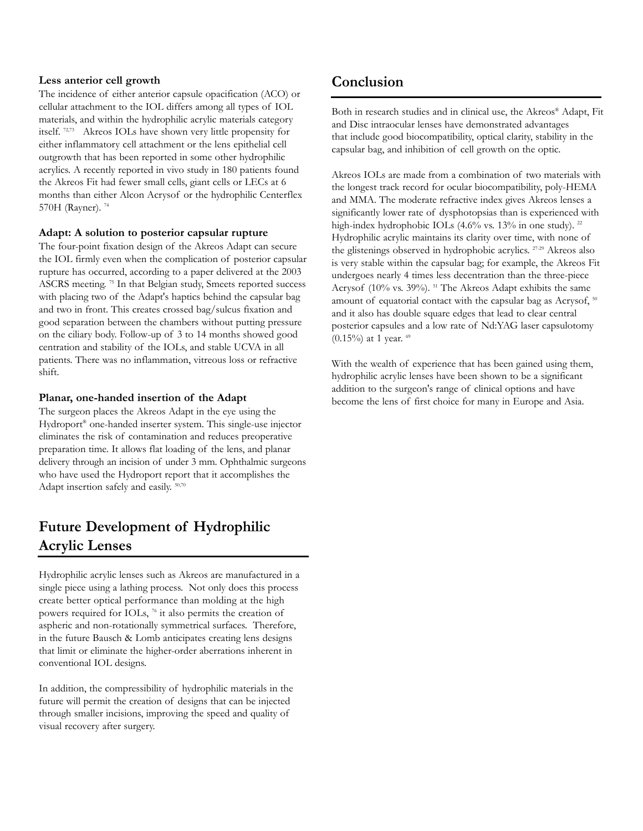#### **Less anterior cell growth**

The incidence of either anterior capsule opacification (ACO) or cellular attachment to the IOL differs among all types of IOL materials, and within the hydrophilic acrylic materials category itself. 72,73 Akreos IOLs have shown very little propensity for either inflammatory cell attachment or the lens epithelial cell outgrowth that has been reported in some other hydrophilic acrylics. A recently reported in vivo study in 180 patients found the Akreos Fit had fewer small cells, giant cells or LECs at 6 months than either Alcon Acrysof or the hydrophilic Centerflex 570H (Rayner).<sup>74</sup>

#### **Adapt: A solution to posterior capsular rupture**

The four-point fixation design of the Akreos Adapt can secure the IOL firmly even when the complication of posterior capsular rupture has occurred, according to a paper delivered at the 2003 ASCRS meeting. <sup>75</sup> In that Belgian study, Smeets reported success with placing two of the Adapt's haptics behind the capsular bag and two in front. This creates crossed bag/sulcus fixation and good separation between the chambers without putting pressure on the ciliary body. Follow-up of 3 to 14 months showed good centration and stability of the IOLs, and stable UCVA in all patients. There was no inflammation, vitreous loss or refractive shift.

#### **Planar, one-handed insertion of the Adapt**

The surgeon places the Akreos Adapt in the eye using the Hydroport® one-handed inserter system. This single-use injector eliminates the risk of contamination and reduces preoperative preparation time. It allows flat loading of the lens, and planar delivery through an incision of under 3 mm. Ophthalmic surgeons who have used the Hydroport report that it accomplishes the Adapt insertion safely and easily. 50,70

## **Future Development of Hydrophilic Acrylic Lenses**

Hydrophilic acrylic lenses such as Akreos are manufactured in a single piece using a lathing process. Not only does this process create better optical performance than molding at the high powers required for IOLs, <sup>76</sup> it also permits the creation of aspheric and non-rotationally symmetrical surfaces. Therefore, in the future Bausch & Lomb anticipates creating lens designs that limit or eliminate the higher-order aberrations inherent in conventional IOL designs.

In addition, the compressibility of hydrophilic materials in the future will permit the creation of designs that can be injected through smaller incisions, improving the speed and quality of visual recovery after surgery.

## **Conclusion**

Both in research studies and in clinical use, the Akreos® Adapt, Fit and Disc intraocular lenses have demonstrated advantages that include good biocompatibility, optical clarity, stability in the capsular bag, and inhibition of cell growth on the optic.

Akreos IOLs are made from a combination of two materials with the longest track record for ocular biocompatibility, poly-HEMA and MMA. The moderate refractive index gives Akreos lenses a significantly lower rate of dysphotopsias than is experienced with high-index hydrophobic IOLs (4.6% vs. 13% in one study). <sup>22</sup> Hydrophilic acrylic maintains its clarity over time, with none of the glistenings observed in hydrophobic acrylics. 27-29 Akreos also is very stable within the capsular bag; for example, the Akreos Fit undergoes nearly 4 times less decentration than the three-piece Acrysof (10% vs. 39%). <sup>51</sup> The Akreos Adapt exhibits the same amount of equatorial contact with the capsular bag as Acrysof, <sup>50</sup> and it also has double square edges that lead to clear central posterior capsules and a low rate of Nd:YAG laser capsulotomy (0.15%) at 1 year.  $69$ 

With the wealth of experience that has been gained using them, hydrophilic acrylic lenses have been shown to be a significant addition to the surgeon's range of clinical options and have become the lens of first choice for many in Europe and Asia.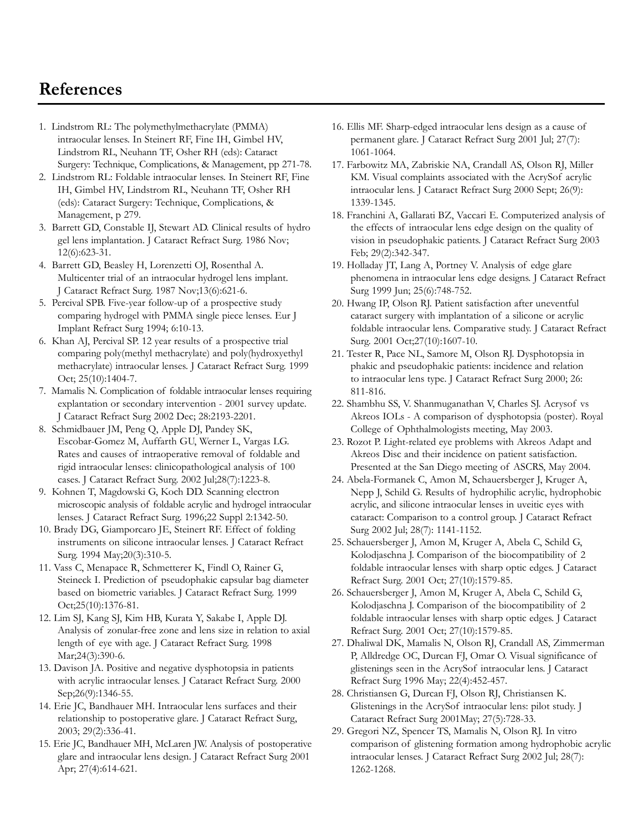## **References**

- 1. Lindstrom RL: The polymethylmethacrylate (PMMA) intraocular lenses. In Steinert RF, Fine IH, Gimbel HV, Lindstrom RL, Neuhann TF, Osher RH (eds): Cataract Surgery: Technique, Complications, & Management, pp 271-78.
- 2. Lindstrom RL: Foldable intraocular lenses. In Steinert RF, Fine IH, Gimbel HV, Lindstrom RL, Neuhann TF, Osher RH (eds): Cataract Surgery: Technique, Complications, & Management, p 279.
- 3. Barrett GD, Constable IJ, Stewart AD. Clinical results of hydro gel lens implantation. J Cataract Refract Surg. 1986 Nov; 12(6):623-31.
- 4. Barrett GD, Beasley H, Lorenzetti OJ, Rosenthal A. Multicenter trial of an intraocular hydrogel lens implant. J Cataract Refract Surg. 1987 Nov;13(6):621-6.
- 5. Percival SPB. Five-year follow-up of a prospective study comparing hydrogel with PMMA single piece lenses. Eur J Implant Refract Surg 1994; 6:10-13.
- 6. Khan AJ, Percival SP. 12 year results of a prospective trial comparing poly(methyl methacrylate) and poly(hydroxyethyl methacrylate) intraocular lenses. J Cataract Refract Surg. 1999 Oct; 25(10):1404-7.
- 7. Mamalis N. Complication of foldable intraocular lenses requiring explantation or secondary intervention - 2001 survey update. J Cataract Refract Surg 2002 Dec; 28:2193-2201.
- 8. Schmidbauer JM, Peng Q, Apple DJ, Pandey SK, Escobar-Gomez M, Auffarth GU, Werner L, Vargas LG. Rates and causes of intraoperative removal of foldable and rigid intraocular lenses: clinicopathological analysis of 100 cases. J Cataract Refract Surg. 2002 Jul;28(7):1223-8.
- 9. Kohnen T, Magdowski G, Koch DD. Scanning electron microscopic analysis of foldable acrylic and hydrogel intraocular lenses. J Cataract Refract Surg. 1996;22 Suppl 2:1342-50.
- 10. Brady DG, Giamporcaro JE, Steinert RF. Effect of folding instruments on silicone intraocular lenses. J Cataract Refract Surg. 1994 May;20(3):310-5.
- 11. Vass C, Menapace R, Schmetterer K, Findl O, Rainer G, Steineck I. Prediction of pseudophakic capsular bag diameter based on biometric variables. J Cataract Refract Surg. 1999 Oct;25(10):1376-81.
- 12. Lim SJ, Kang SJ, Kim HB, Kurata Y, Sakabe I, Apple DJ. Analysis of zonular-free zone and lens size in relation to axial length of eye with age. J Cataract Refract Surg. 1998 Mar; 24(3): 390-6.
- 13. Davison JA. Positive and negative dysphotopsia in patients with acrylic intraocular lenses. J Cataract Refract Surg. 2000 Sep;26(9):1346-55.
- 14. Erie JC, Bandhauer MH. Intraocular lens surfaces and their relationship to postoperative glare. J Cataract Refract Surg, 2003; 29(2):336-41.
- 15. Erie JC, Bandhauer MH, McLaren JW. Analysis of postoperative glare and intraocular lens design. J Cataract Refract Surg 2001 Apr; 27(4):614-621.
- 16. Ellis MF. Sharp-edged intraocular lens design as a cause of permanent glare. J Cataract Refract Surg 2001 Jul; 27(7): 1061-1064.
- 17. Farbowitz MA, Zabriskie NA, Crandall AS, Olson RJ, Miller KM. Visual complaints associated with the AcrySof acrylic intraocular lens. J Cataract Refract Surg 2000 Sept; 26(9): 1339-1345.
- 18. Franchini A, Gallarati BZ, Vaccari E. Computerized analysis of the effects of intraocular lens edge design on the quality of vision in pseudophakic patients. J Cataract Refract Surg 2003 Feb; 29(2):342-347.
- 19. Holladay JT, Lang A, Portney V. Analysis of edge glare phenomena in intraocular lens edge designs. J Cataract Refract Surg 1999 Jun; 25(6):748-752.
- 20. Hwang IP, Olson RJ. Patient satisfaction after uneventful cataract surgery with implantation of a silicone or acrylic foldable intraocular lens. Comparative study. J Cataract Refract Surg. 2001 Oct;27(10):1607-10.
- 21. Tester R, Pace NL, Samore M, Olson RJ. Dysphotopsia in phakic and pseudophakic patients: incidence and relation to intraocular lens type. J Cataract Refract Surg 2000; 26: 811-816.
- 22. Shambhu SS, V. Shanmuganathan V, Charles SJ. Acrysof vs Akreos IOLs - A comparison of dysphotopsia (poster). Royal College of Ophthalmologists meeting, May 2003.
- 23. Rozot P. Light-related eye problems with Akreos Adapt and Akreos Disc and their incidence on patient satisfaction. Presented at the San Diego meeting of ASCRS, May 2004.
- 24. Abela-Formanek C, Amon M, Schauersberger J, Kruger A, Nepp J, Schild G. Results of hydrophilic acrylic, hydrophobic acrylic, and silicone intraocular lenses in uveitic eyes with cataract: Comparison to a control group. J Cataract Refract Surg 2002 Jul; 28(7): 1141-1152.
- 25. Schauersberger J, Amon M, Kruger A, Abela C, Schild G, Kolodjaschna J. Comparison of the biocompatibility of 2 foldable intraocular lenses with sharp optic edges. J Cataract Refract Surg. 2001 Oct; 27(10):1579-85.
- 26. Schauersberger J, Amon M, Kruger A, Abela C, Schild G, Kolodjaschna J. Comparison of the biocompatibility of 2 foldable intraocular lenses with sharp optic edges. J Cataract Refract Surg. 2001 Oct; 27(10):1579-85.
- 27. Dhaliwal DK, Mamalis N, Olson RJ, Crandall AS, Zimmerman P, Alldredge OC, Durcan FJ, Omar O. Visual significance of glistenings seen in the AcrySof intraocular lens. J Cataract Refract Surg 1996 May; 22(4):452-457.
- 28. Christiansen G, Durcan FJ, Olson RJ, Christiansen K. Glistenings in the AcrySof intraocular lens: pilot study. J Cataract Refract Surg 2001May; 27(5):728-33.
- 29. Gregori NZ, Spencer TS, Mamalis N, Olson RJ. In vitro comparison of glistening formation among hydrophobic acrylic intraocular lenses. J Cataract Refract Surg 2002 Jul; 28(7): 1262-1268.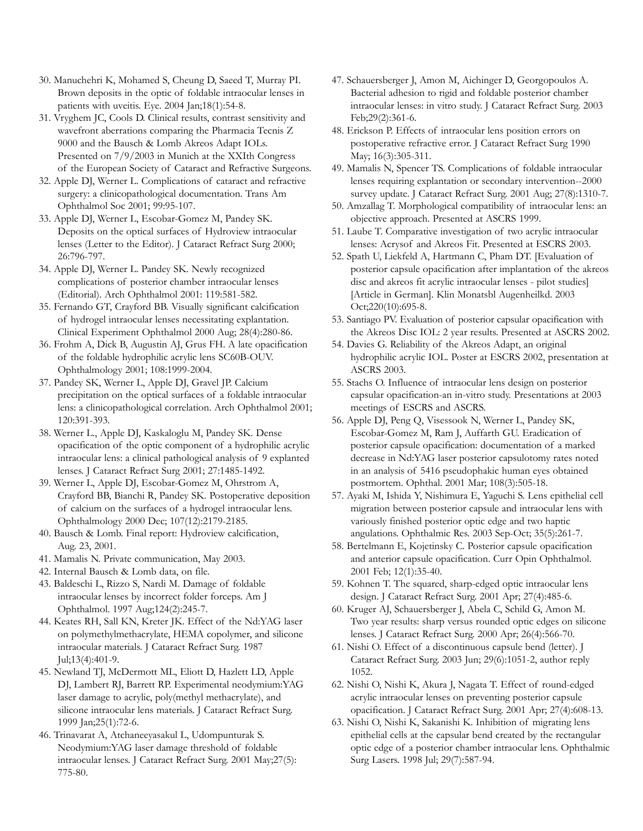- 30. Manuchehri K, Mohamed S, Cheung D, Saeed T, Murray PI. Brown deposits in the optic of foldable intraocular lenses in patients with uveitis. Eye. 2004 Jan;18(1):54-8.
- 31. Vryghem JC, Cools D. Clinical results, contrast sensitivity and wavefront aberrations comparing the Pharmacia Tecnis Z 9000 and the Bausch & Lomb Akreos Adapt IOLs. Presented on 7/9/2003 in Munich at the XXIth Congress of the European Society of Cataract and Refractive Surgeons.
- 32. Apple DJ, Werner L. Complications of cataract and refractive surgery: a clinicopathological documentation. Trans Am Ophthalmol Soc 2001; 99:95-107.
- 33. Apple DJ, Werner L, Escobar-Gomez M, Pandey SK. Deposits on the optical surfaces of Hydroview intraocular lenses (Letter to the Editor). J Cataract Refract Surg 2000; 26:796-797.
- 34. Apple DJ, Werner L. Pandey SK. Newly recognized complications of posterior chamber intraocular lenses (Editorial). Arch Ophthalmol 2001: 119:581-582.
- 35. Fernando GT, Crayford BB. Visually significant calcification of hydrogel intraocular lenses necessitating explantation. Clinical Experiment Ophthalmol 2000 Aug; 28(4):280-86.
- 36. Frohm A, Dick B, Augustin AJ, Grus FH. A late opacification of the foldable hydrophilic acrylic lens SC60B-OUV. Ophthalmology 2001; 108:1999-2004.
- 37. Pandey SK, Werner L, Apple DJ, Gravel JP. Calcium precipitation on the optical surfaces of a foldable intraocular lens: a clinicopathological correlation. Arch Ophthalmol 2001; 120:391-393.
- 38. Werner L., Apple DJ, Kaskaloglu M, Pandey SK. Dense opacification of the optic component of a hydrophilic acrylic intraocular lens: a clinical pathological analysis of 9 explanted lenses. J Cataract Refract Surg 2001; 27:1485-1492.
- 39. Werner L, Apple DJ, Escobar-Gomez M, Ohrstrom A, Crayford BB, Bianchi R, Pandey SK. Postoperative deposition of calcium on the surfaces of a hydrogel intraocular lens. Ophthalmology 2000 Dec; 107(12):2179-2185.
- 40. Bausch & Lomb. Final report: Hydroview calcification, Aug. 23, 2001.
- 41. Mamalis N. Private communication, May 2003.
- 42. Internal Bausch & Lomb data, on file.
- 43. Baldeschi L, Rizzo S, Nardi M. Damage of foldable intraocular lenses by incorrect folder forceps. Am J Ophthalmol. 1997 Aug;124(2):245-7.
- 44. Keates RH, Sall KN, Kreter JK. Effect of the Nd:YAG laser on polymethylmethacrylate, HEMA copolymer, and silicone intraocular materials. J Cataract Refract Surg. 1987 Jul;13(4):401-9.
- 45. Newland TJ, McDermott ML, Eliott D, Hazlett LD, Apple DJ, Lambert RJ, Barrett RP. Experimental neodymium:YAG laser damage to acrylic, poly(methyl methacrylate), and silicone intraocular lens materials. J Cataract Refract Surg. 1999 Jan;25(1):72-6.
- 46. Trinavarat A, Atchaneeyasakul L, Udompunturak S. Neodymium:YAG laser damage threshold of foldable intraocular lenses. J Cataract Refract Surg. 2001 May;27(5): 775-80.
- 47. Schauersberger J, Amon M, Aichinger D, Georgopoulos A. Bacterial adhesion to rigid and foldable posterior chamber intraocular lenses: in vitro study. J Cataract Refract Surg. 2003 Feb;29(2):361-6.
- 48. Erickson P. Effects of intraocular lens position errors on postoperative refractive error. J Cataract Refract Surg 1990 May; 16(3):305-311.
- 49. Mamalis N, Spencer TS. Complications of foldable intraocular lenses requiring explantation or secondary intervention--2000 survey update. J Cataract Refract Surg. 2001 Aug; 27(8):1310-7.
- 50. Amzallag T. Morphological compatibility of intraocular lens: an objective approach. Presented at ASCRS 1999.
- 51. Laube T. Comparative investigation of two acrylic intraocular lenses: Acrysof and Akreos Fit. Presented at ESCRS 2003.
- 52. Spath U, Liekfeld A, Hartmann C, Pham DT. [Evaluation of posterior capsule opacification after implantation of the akreos disc and akreos fit acrylic intraocular lenses - pilot studies] [Article in German]. Klin Monatsbl Augenheilkd. 2003 Oct;220(10):695-8.
- 53. Santiago PV. Evaluation of posterior capsular opacification with the Akreos Disc IOL: 2 year results. Presented at ASCRS 2002.
- 54. Davies G. Reliability of the Akreos Adapt, an original hydrophilic acrylic IOL. Poster at ESCRS 2002, presentation at ASCRS 2003.
- 55. Stachs O. Influence of intraocular lens design on posterior capsular opacification-an in-vitro study. Presentations at 2003 meetings of ESCRS and ASCRS.
- 56. Apple DJ, Peng Q, Visessook N, Werner L, Pandey SK, Escobar-Gomez M, Ram J, Auffarth GU. Eradication of posterior capsule opacification: documentation of a marked decrease in Nd:YAG laser posterior capsulotomy rates noted in an analysis of 5416 pseudophakic human eyes obtained postmortem. Ophthal. 2001 Mar; 108(3):505-18.
- 57. Ayaki M, Ishida Y, Nishimura E, Yaguchi S. Lens epithelial cell migration between posterior capsule and intraocular lens with variously finished posterior optic edge and two haptic angulations. Ophthalmic Res. 2003 Sep-Oct; 35(5):261-7.
- 58. Bertelmann E, Kojetinsky C. Posterior capsule opacification and anterior capsule opacification. Curr Opin Ophthalmol. 2001 Feb; 12(1):35-40.
- 59. Kohnen T. The squared, sharp-edged optic intraocular lens design. J Cataract Refract Surg. 2001 Apr; 27(4):485-6.
- 60. Kruger AJ, Schauersberger J, Abela C, Schild G, Amon M. Two year results: sharp versus rounded optic edges on silicone lenses. J Cataract Refract Surg. 2000 Apr; 26(4):566-70.
- 61. Nishi O. Effect of a discontinuous capsule bend (letter). J Cataract Refract Surg. 2003 Jun; 29(6):1051-2, author reply 1052.
- 62. Nishi O, Nishi K, Akura J, Nagata T. Effect of round-edged acrylic intraocular lenses on preventing posterior capsule opacification. J Cataract Refract Surg. 2001 Apr; 27(4):608-13.
- 63. Nishi O, Nishi K, Sakanishi K. Inhibition of migrating lens epithelial cells at the capsular bend created by the rectangular optic edge of a posterior chamber intraocular lens. Ophthalmic Surg Lasers. 1998 Jul; 29(7):587-94.